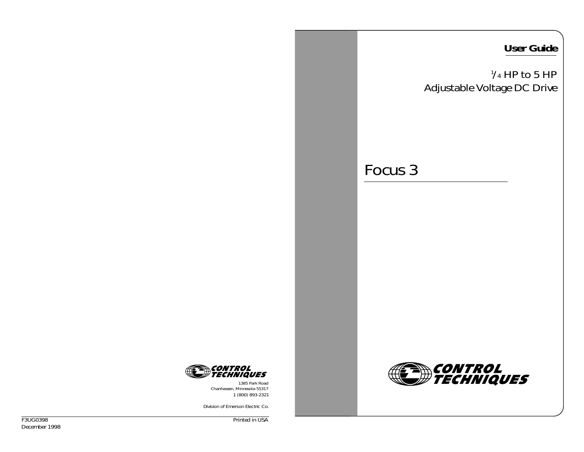## **User Guide**

 $\frac{1}{4}$  HP to 5 HP Adjustable Voltage DC Drive

*CONTROL<br>TECHNIQUES* 

## Focus 3



1385 Park Road Chanhassen, Minnesota 55317 1 (800) 893-2321

*Division of Emerson Electric Co.*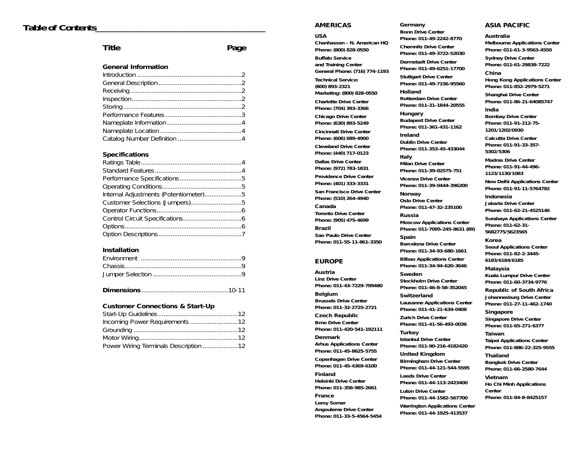## *Table of Contents\_\_\_\_\_\_\_\_\_\_\_\_\_\_\_\_\_\_\_\_\_\_\_\_\_\_\_\_\_\_\_\_\_*

## **Title Page**

#### **General Information**

#### **Specifications**

| Internal Adjustments (Potentiometer)5 |  |
|---------------------------------------|--|
|                                       |  |
|                                       |  |
|                                       |  |
|                                       |  |
|                                       |  |

#### **Installation**

|--|--|--|--|

#### **Customer Connections & Start-Up**

| Power Wiring Terminals Description 12 |  |
|---------------------------------------|--|

#### **AMERICAS**

#### **USA**

**Chanhassen – N. American HQ Phone: (800) 828-0550 Buffalo Service and Training Center General Phone: (716) 774-1193 Technical Service: (800) 893-2321 Marketing: (800) 828-0550 Charlotte Drive Center Phone: (704) 393-3366 Chicago Drive Center Phone: (630) 893-5249 Cincinnati Drive Center Phone: (606) 689-4900 Cleveland Drive Center Phone: (440) 717-0123**

**Dallas Drive Center Phone: (972) 783-1831**

**Providence Drive Center Phone: (401) 333-3331**

**San Francisco Drive Center Phone: (510) 264-4940**

**Canada Toronto Drive Center Phone: (905) 475-4699**

**Brazil Sao Paulo Drive Center Phone: 011-55-11-861-3350** 

#### **EUROPE**

**Austria Linz Drive Center Phone: 011-43-7229-789480**

**Belgium Brussels Drive Center**

**Czech Republic Brno Drive Center**

**Denmark**

**Phone: 011-45-8625-5755**

### **Phone: 011-45-4369-6100**

**Finland Helsinki Drive Center Phone: 011-358-985-2661**

**France Leroy Somer Angouleme Drive Center Phone: 011-33-5-4564-5454**

#### **Germany**

**Bonn Drive Center Phone: 011-49-2242-8770 Chemnitz Drive Center Phone: 011-49-3722-52030 Darmstadt Drive Center Phone: 011-49-6251-17700 Stuttgart Drive Center**

**Phone: 011-49-7156-95560 Holland**

**Rotterdam Drive Center Phone: 011-31-1844-20555**

**Hungary Budapest Drive Center Phone: 011-361-431-1162**

**Ireland Dublin Drive Center Phone: 011-353-45-433044**

**Italy Milan Drive Center Phone: 011-39-02575-751**

**Vicenza Drive Center Phone: 011-39-0444-396200**

**Norway Oslo Drive Center Phone: 011-47-32-235100**

**Russia Moscow Applications Center Phone: 011-7095-245-8631 (89)**

**Spain Barcelona Drive Center Phone: 011-34-93-680-1661**

**Bilbao Applications Center Phone: 011-34-94-620-3646**

**Sweden Stockholm Drive Center Phone: 011-46-8-58-352045**

**Switzerland Lausanne Applications Center Phone: 011-41-21-634-0408**

**Zurich Drive Center Phone: 011-41-56-493-0036**

**Turkey Istanbul Drive Center Phone: 011-90-216-4182420**

**United Kingdom Birmingham Drive Center Phone: 011-44-121-544-5595**

**Leeds Drive Center Phone: 011-44-113-2423400 Luton Drive Center**

**Phone: 011-44-1582-567700**

**Phone: 011-44-1925-413537**

#### **ASIA PACIFIC**

#### **Australia**

**Melbourne Applications Center Phone: 011-61-3-9563-4550**

**Sydney Drive Center Phone: 011-61-29838-7222**

#### **China**

**Hong Kong Applications Center Phone: 011-852-2979-5271**

**Shanghai Drive Center Phone: 011-86-21-64085747**

#### **India**

**Bombay Drive Center Phone: 011-91-212-75- 1201/1202/0930**

**Calcutta Drive Center Phone: 011-91-33-357- 5302/5306**

**Madras Drive Center Phone: 011-91-44-496- 1123/1130/1083**

**New Delhi Applications Center Phone: 011-91-11-5764782**

#### **Indonesia**

**Jakarta Drive Center Phone: 011-62-21-4525146**

**Surabaya Applications Center Phone: 011-62-31- 5682775/5623565**

#### **Korea**

**Seoul Applications Center Phone: 011-82-2-3445- 6183/6184/6185**

#### **Malaysia**

**Kuala Lumpur Drive Center Phone: 011-60-3734-9776**

**Republic of South Africa Johannesburg Drive Center Phone: 011-27-11-462-1740**

**Singapore Singapore Drive Center Phone: 011-65-271-6377**

**Taiwan Taipei Applications Center Phone: 011-886-22-325-9555**

**Thailand Bangkok Drive Center Phone: 011-66-2580-7644**

#### **Vietnam**

**Ho Chi Minh Applications Center Phone: 011-84-8-8425157**

**Warrington Applications Center**

**Phone: 011-32-2725-2721**

**Phone: 011-420-541-192111**

**Arhus Applications Center**

**Copenhagen Drive Center**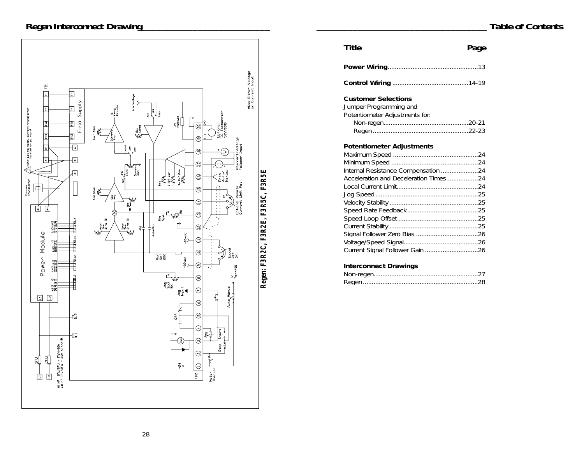## *Regen Interconnect Drawing\_\_\_\_\_\_\_\_\_\_\_\_\_\_\_\_\_\_\_\_\_\_\_\_\_*



| Title                                                                                                                                            | Page |
|--------------------------------------------------------------------------------------------------------------------------------------------------|------|
|                                                                                                                                                  |      |
|                                                                                                                                                  |      |
| <b>Customer Selections</b><br>Jumper Programming and<br>Potentiometer Adjustments for:                                                           |      |
| <b>Potentiometer Adjustments</b><br>Internal Resistance Compensation 24<br>Acceleration and Deceleration Times24<br><b>Interconnect Drawings</b> |      |
|                                                                                                                                                  |      |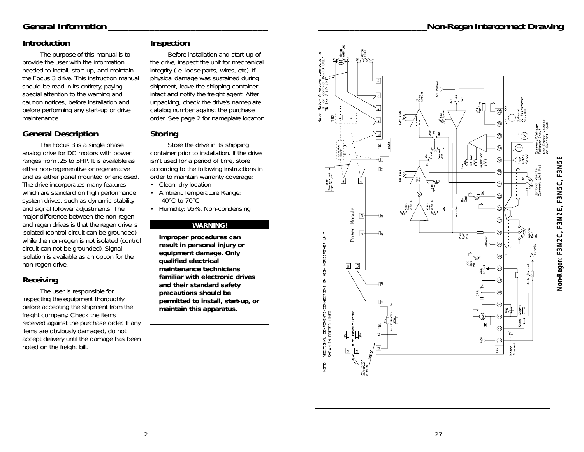## *\_\_\_\_\_\_\_\_\_\_\_\_\_\_\_\_\_\_\_\_\_Non-Regen Interconnect Drawing*

## *General Information \_\_\_\_\_\_\_\_\_\_\_\_\_\_\_\_\_\_\_\_\_\_\_\_\_\_\_\_\_\_\_*

## **Introduction**

The purpose of this manual is to provide the user with the information needed to install, start-up, and maintain the Focus 3 drive. This instruction manual should be read in its entirety, paying special attention to the warning and caution notices, before installation and before performing any start-up or drive maintenance.

## **General Description**

The Focus 3 is a single phase analog drive for DC motors with power ranges from .25 to 5HP. It is available as either non-regenerative or regenerative and as either panel mounted or enclosed. The drive incorporates many features which are standard on high performance system drives, such as dynamic stability and signal follower adjustments. The major difference between the non-regen and regen drives is that the regen drive is isolated (control circuit can be grounded) while the non-regen is not isolated (control circuit can not be grounded). Signal isolation is available as an option for the non-regen drive.

## **Receiving**

The user is responsible for inspecting the equipment thoroughly before accepting the shipment from the freight company. Check the items received against the purchase order. If any items are obviously damaged, do not accept delivery until the damage has been noted on the freight bill.

## **Inspection**

Before installation and start-up of the drive, inspect the unit for mechanical integrity (i.e. loose parts, wires, etc). If physical damage was sustained during shipment, leave the shipping container intact and notify the freight agent. After unpacking, check the drive's nameplate catalog number against the purchase order. See page 2 for nameplate location.

## **Storing**

Store the drive in its shipping container prior to installation. If the drive isn't used for a period of time, store according to the following instructions in order to maintain warranty coverage:

- Clean, dry location
- Ambient Temperature Range: -40°C to 70°C
- Humidity: 95%, Non-condensing

### **WARNING!**

**Improper procedures can result in personal injury or equipment damage. Only qualified electrical maintenance technicians familiar with electronic drives and their standard safety precautions should be permitted to install, start-up, or maintain this apparatus.** 

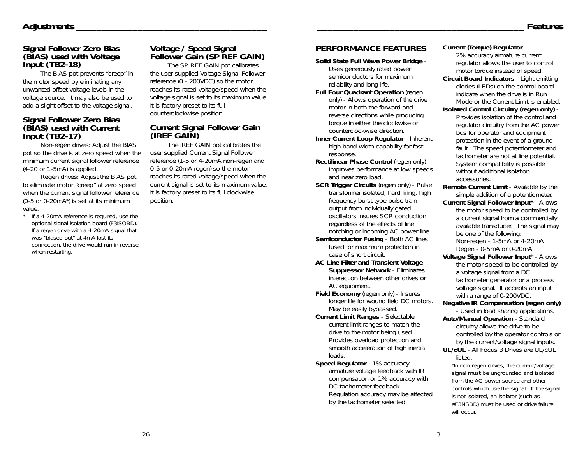# **Signal Follower Zero Bias (BIAS) used with Voltage Input (TB2-18)**

The BIAS pot prevents "creep" in the motor speed by eliminating any unwanted offset voltage levels in the voltage source. It may also be used to add a slight offset to the voltage signal.

# **Signal Follower Zero Bias (BIAS) used with Current Input (TB2-17)**

Non-regen drives: Adjust the BIAS pot so the drive is at zero speed when the minimum current signal follower reference (4-20 or 1-5mA) is applied.

Regen drives: Adjust the BIAS pot to eliminate motor "creep" at zero speed when the current signal follower reference (0-5 or 0-20mA\*) is set at its minimum value.

*\* If a 4-20mA reference is required, use the optional signal isolation board (F3ISOBD). If a regen drive with a 4-20mA signal that was "biased out" at 4mA lost its connection, the drive would run in reverse when restarting.* 

# **Voltage / Speed Signal Follower Gain (SP REF GAIN)**

The SP REF GAIN pot calibrates the user supplied Voltage Signal Follower reference (0 - 200VDC) so the motor reaches its rated voltage/speed when the voltage signal is set to its maximum value. It is factory preset to its full counterclockwise position.

## **Current Signal Follower Gain (IREF GAIN)**

The IREF GAIN pot calibrates the user supplied Current Signal Follower reference (1-5 or 4-20mA non-regen and 0-5 or 0-20mA regen) so the motor reaches its rated voltage/speed when the current signal is set to its maximum value. It is factory preset to its full clockwise position.

## **PERFORMANCE FEATURES**

**Solid State Full Wave Power Bridge** - Uses generously rated power semiconductors for maximum reliability and long life.

- **Full Four Quadrant Operation** (regen only) - Allows operation of the drive motor in both the forward and reverse directions while producing torque in either the clockwise or counterclockwise direction.
- **Inner Current Loop Regulator**  Inherent high band width capability for fast response.
- **Rectilinear Phase Control** (regen only) Improves performance at low speeds and near zero load.
- **SCR Trigger Circuits** (regen only) Pulse transformer isolated, hard firing, high frequency burst type pulse train output from individually gated oscillators insures SCR conduction regardless of the effects of line notching or incoming AC power line.
- **Semiconductor Fusing**  Both AC lines fused for maximum protection in case of short circuit.
- **AC Line Filter and Transient Voltage Suppressor Network** - Eliminates interaction between other drives or AC equipment.
- **Field Economy** (regen only) Insures longer life for wound field DC motors. May be easily bypassed.
- **Current Limit Ranges**  Selectable current limit ranges to match the drive to the motor being used. Provides overload protection and smooth acceleration of high inertia loads.
- **Speed Regulator 1% accuracy** armature voltage feedback with IR compensation or 1% accuracy with DC tachometer feedback. Regulation accuracy may be affected by the tachometer selected.

#### **Current (Torque) Regulator** -

2% accuracy armature current regulator allows the user to control motor torque instead of speed.

- **Circuit Board Indicators**  Light emitting diodes (LEDs) on the control board indicate when the drive is in Run Mode or the Current Limit is enabled.
- **Isolated Control Circuitry (regen only)**  Provides isolation of the control and regulator circuitry from the AC power bus for operator and equipment protection in the event of a ground fault. The speed potentiometer and tachometer are not at line potential. System compatibility is possible without additional isolation accessories.

**Remote Current Limit** - Available by the simple addition of a potentiometer.

**Current Signal Follower Input\*** - Allows the motor speed to be controlled by a current signal from a commercially available transducer. The signal may be one of the following: Non-regen - 1-5mA or 4-20mA Regen - 0-5mA or 0-20mA

**Voltage Signal Follower Input\*** - Allows the motor speed to be controlled by a voltage signal from a DC tachometer generator or a process voltage signal. It accepts an input with a range of 0-200VDC.

- **Negative IR Compensation (regen only)** - Used in load sharing applications.
- **Auto/Manual Operation**  Standard circuitry allows the drive to be controlled by the operator controls or by the current/voltage signal inputs.
- **UL/cUL**  All Focus 3 Drives are UL/cUL listed.

*\*In non-regen drives, the current/voltage signal must be ungrounded and isolated from the AC power source and other controls which use the signal. If the signal is not isolated, an isolator (such as #F3NSBD) must be used or drive failure will occur.*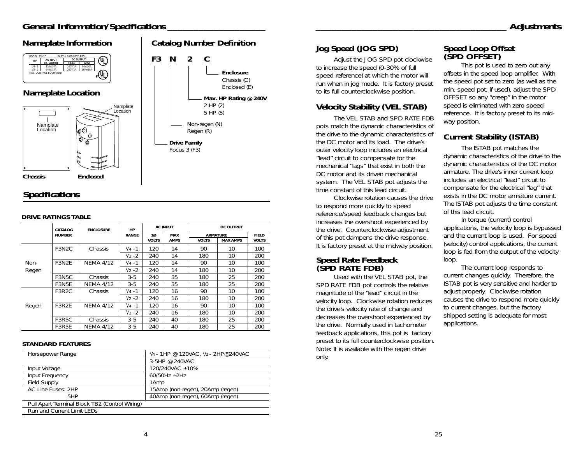## *General Information/Specifications*



## *Specifications*

#### **DRIVE RATINGS TABLE**

|       | CATALOG            | <b>ENCLOSURE</b> | HP               |              | <b>AC INPUT</b> |                 | DC OUTPUT       |              |
|-------|--------------------|------------------|------------------|--------------|-----------------|-----------------|-----------------|--------------|
|       | <b>NUMBER</b>      |                  | <b>RANGE</b>     | $10^{\circ}$ | <b>MAX</b>      | <b>ARMATURE</b> |                 | <b>FIELD</b> |
|       |                    |                  |                  | <b>VOLTS</b> | <b>AMPS</b>     | <b>VOLTS</b>    | <b>MAX AMPS</b> | <b>VOLTS</b> |
|       | F3N <sub>2</sub> C | Chassis          | $\frac{1}{4}$ -1 | 120          | 14              | 90              | 10              | 100          |
|       |                    |                  | $\frac{1}{2}$ -2 | 240          | 14              | 180             | 10              | 200          |
| Non-  | F3N2F              | <b>NEMA 4/12</b> | $\frac{1}{4}$ -1 | 120          | 14              | 90              | 10              | 100          |
| Regen |                    |                  | $\frac{1}{2}$ -2 | 240          | 14              | 180             | 10              | 200          |
|       | F3N5C              | Chassis          | $3 - 5$          | 240          | 35              | 180             | 25              | 200          |
|       | F3N5E              | <b>NEMA 4/12</b> | $3 - 5$          | 240          | 35              | 180             | 25              | 200          |
|       | F3R <sub>2</sub> C | Chassis          | $\frac{1}{4}$ -1 | 120          | 16              | 90              | 10              | 100          |
|       |                    |                  | $\frac{1}{2}$ -2 | 240          | 16              | 180             | 10              | 200          |
| Regen | F3R2F              | <b>NFMA 4/12</b> | $\frac{1}{4}$ -1 | 120          | 16              | 90              | 10              | 100          |
|       |                    |                  | $\frac{1}{2}$ -2 | 240          | 16              | 180             | 10              | 200          |
|       | F3R5C              | Chassis          | $3-5$            | 240          | 40              | 180             | 25              | 200          |
|       | F3R5E              | <b>NEMA 4/12</b> | $3 - 5$          | 240          | 40              | 180             | 25              | 200          |

#### **STANDARD FEATURES**

| Horsepower Range                               | $1/4 - 1$ HP @ 120VAC, $1/2 - 2$ HP@240VAC |
|------------------------------------------------|--------------------------------------------|
|                                                | 3-5HP @ 240VAC                             |
| Input Voltage                                  | 120/240VAC ±10%                            |
| Input Frequency                                | 60/50Hz $\pm$ 2Hz                          |
| <b>Field Supply</b>                            | 1Amp                                       |
| AC Line Fuses: 2HP                             | 15Amp (non-regen), 20Amp (regen)           |
| 5HP                                            | 40Amp (non-regen), 60Amp (regen)           |
| Pull Apart Terminal Block TB2 (Control Wiring) |                                            |
| Run and Current Limit LFDs                     |                                            |

## **Jog Speed (JOG SPD)**

Adjust the JOG SPD pot clockwise to increase the speed (0-30% of full speed reference) at which the motor will run when in jog mode. It is factory preset to its full counterclockwise position.

## **Velocity Stability (VEL STAB)**

The VEL STAB and SPD RATE FDB pots match the dynamic characteristics of the drive to the dynamic characteristics of the DC motor and its load. The drive's outer velocity loop includes an electrical "lead" circuit to compensate for the mechanical "lags" that exist in both the DC motor and its driven mechanical system. The VEL STAB pot adjusts the time constant of this lead circuit.

Clockwise rotation causes the drive to respond more quickly to speed reference/speed feedback changes but increases the overshoot experienced by the drive. Counterclockwise adjustment of this pot dampens the drive response. It is factory preset at the midway position.

## **Speed Rate Feedback (SPD RATE FDB)**

Used with the VEL STAB pot, the SPD RATE FDB pot controls the relative magnitude of the "lead" circuit in the velocity loop. Clockwise rotation reduces the drive's velocity rate of change and decreases the overshoot experienced by the drive. Normally used in tachometer feedback applications, this pot is factory preset to its full counterclockwise position. Note: It is available with the regen drive only.

## **Speed Loop Offset (SPD OFFSET)**

This pot is used to zero out any offsets in the speed loop amplifier. With the speed pot set to zero (as well as the min. speed pot, if used), adjust the SPD OFFSET so any "creep" in the motor speed is eliminated with zero speed reference. It is factory preset to its midway position.

## **Current Stability (ISTAB)**

The ISTAB pot matches the dynamic characteristics of the drive to the dynamic characteristics of the DC motor armature. The drive's inner current loop includes an electrical "lead" circuit to compensate for the electrical "lag" that exists in the DC motor armature current. The ISTAB pot adjusts the time constant of this lead circuit.

In torque (current) control applications, the velocity loop is bypassed and the current loop is used. For speed (velocity) control applications, the current loop is fed from the output of the velocity loop.

The current loop responds to current changes quickly. Therefore, the ISTAB pot is very sensitive and harder to adjust properly. Clockwise rotation causes the drive to respond more quickly to current changes, but the factory shipped setting is adequate for most applications.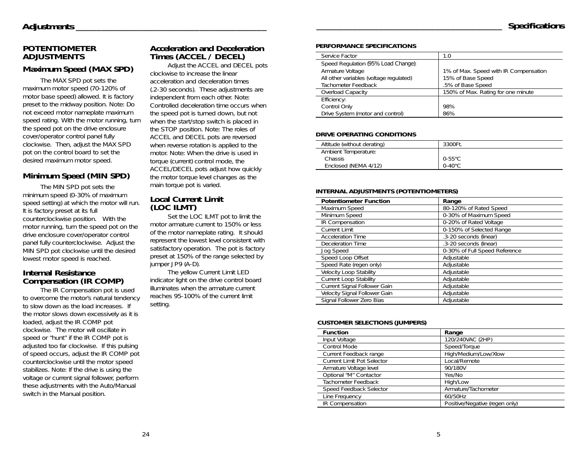## **POTENTIOMETER ADJUSTMENTS**

## **Maximum Speed (MAX SPD)**

The MAX SPD pot sets the maximum motor speed (70-120% of motor base speed) allowed. It is factory preset to the midway position. Note: Do not exceed motor nameplate maximum speed rating. With the motor running, turn the speed pot on the drive enclosure cover/operator control panel fully clockwise. Then, adjust the MAX SPD pot on the control board to set the desired maximum motor speed.

## **Minimum Speed (MIN SPD)**

The MIN SPD pot sets the minimum speed (0-30% of maximum speed setting) at which the motor will run. It is factory preset at its full counterclockwise position. With the motor running, turn the speed pot on the drive enclosure cover/operator control panel fully counterclockwise. Adjust the MIN SPD pot clockwise until the desired lowest motor speed is reached.

## **Internal Resistance Compensation (IR COMP)**

The IR Compensation pot is used to overcome the motor's natural tendency to slow down as the load increases. If the motor slows down excessively as it is loaded, adjust the IR COMP pot clockwise. The motor will oscillate in speed or "hunt" if the IR COMP pot is adjusted too far clockwise. If this pulsing of speed occurs, adjust the IR COMP pot counterclockwise until the motor speed stabilizes. Note: If the drive is using the voltage or current signal follower, perform these adjustments with the Auto/Manual switch in the Manual position.

## **Acceleration and Deceleration Times (ACCEL / DECEL)**

Adjust the ACCEL and DECEL pots clockwise to increase the linear acceleration and deceleration times

(.2-30 seconds). These adjustments are independent from each other. Note: Controlled deceleration time occurs when the speed pot is turned down, but not when the start/stop switch is placed in the STOP position. Note: The roles of ACCEL and DECEL pots are reversed when reverse rotation is applied to the motor. Note: When the drive is used in torque (current) control mode, the ACCEL/DECEL pots adjust how quickly the motor torque level changes as the main torque pot is varied.

## **Local Current Limit (LOC ILMT)**

Set the LOC ILMT pot to limit the motor armature current to 150% or less of the motor nameplate rating. It should represent the lowest level consistent with satisfactory operation. The pot is factory preset at 150% of the range selected by jumper JP9 (A-D).

The yellow Current Limit LED indicator light on the drive control board illuminates when the armature current reaches 95-100% of the current limit setting.

#### **PERFORMANCE SPECIFICATIONS**

| Service Factor                          | 1.0                                   |
|-----------------------------------------|---------------------------------------|
| Speed Regulation (95% Load Change):     |                                       |
| Armature Voltage                        | 1% of Max. Speed with IR Compensation |
| All other variables (voltage regulated) | 15% of Base Speed                     |
| Tachometer Feedback                     | .5% of Base Speed                     |
| Overload Capacity                       | 150% of Max. Rating for one minute    |
| Efficiency:                             |                                       |
| Control Only                            | 98%                                   |
| Drive System (motor and control)        | 86%                                   |

#### **DRIVE OPERATING CONDITIONS**

| Altitude (without derating) | 3300Ft.          |
|-----------------------------|------------------|
|                             |                  |
| Ambient Temperature:        |                  |
|                             |                  |
| Chassis                     | $0-55^{\circ}$ C |
|                             |                  |
| Enclosed (NEMA 4/12)        | $0-40^{\circ}$ C |
|                             |                  |

#### **INTERNAL ADJUSTMENTS (POTENTIOMETERS)**

| <b>Potentiometer Function</b>  | Range                         |
|--------------------------------|-------------------------------|
| Maximum Speed                  | 80-120% of Rated Speed        |
| Minimum Speed                  | 0-30% of Maximum Speed        |
| IR Compensation                | 0-20% of Rated Voltage        |
| <b>Current Limit</b>           | 0-150% of Selected Range      |
| <b>Acceleration Time</b>       | .3-20 seconds (linear)        |
| Deceleration Time              | .3-20 seconds (linear)        |
| Jog Speed                      | 0-30% of Full Speed Reference |
| Speed Loop Offset              | Adjustable                    |
| Speed Rate (regen only)        | Adjustable                    |
| <b>Velocity Loop Stability</b> | Adiustable                    |
| <b>Current Loop Stability</b>  | Adiustable                    |
| Current Signal Follower Gain   | Adjustable                    |
| Velocity Signal Follower Gain  | Adjustable                    |
| Signal Follower Zero Bias      | Adjustable                    |

#### **CUSTOMER SELECTIONS (JUMPERS)**

| <b>Function</b>                   | Range                          |
|-----------------------------------|--------------------------------|
| Input Voltage                     | 120/240VAC (2HP)               |
| Control Mode                      | Speed/Torque                   |
| Current Feedback range            | High/Medium/Low/Xlow           |
| <b>Current Limit Pot Selector</b> | Local/Remote                   |
| Armature Voltage level            | 90/180V                        |
| Optional "M" Contactor            | Yes/No                         |
| Tachometer Feedback               | High/Low                       |
| Speed Feedback Selector           | Armature/Tachometer            |
| Line Frequency                    | 60/50Hz                        |
| IR Compensation                   | Positive/Negative (regen only) |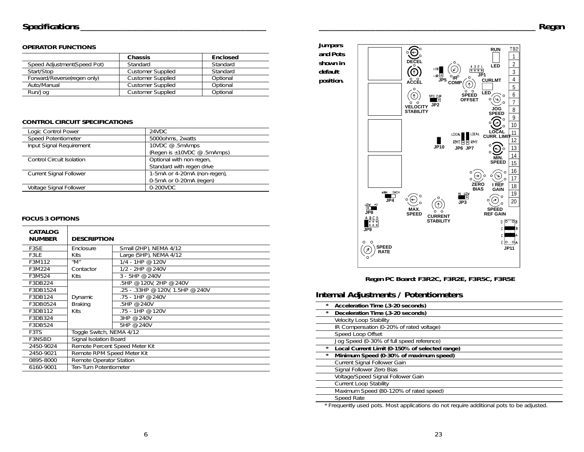### **OPERATOR FUNCTIONS**

|                              | <b>Chassis</b>           | <b>Enclosed</b> |
|------------------------------|--------------------------|-----------------|
| Speed Adjustment (Speed Pot) | Standard                 | Standard        |
| Start/Stop                   | <b>Customer Supplied</b> | Standard        |
| Forward/Reverse(regen only)  | <b>Customer Supplied</b> | Optional        |
| Auto/Manual                  | <b>Customer Supplied</b> | Optional        |
| Run/Jog                      | <b>Customer Supplied</b> | Optional        |

### **CONTROL CIRCUIT SPECIFICATIONS**

| Logic Control Power            | 24VDC                        |
|--------------------------------|------------------------------|
| Speed Potentiometer            | 5000ohms, 2watts             |
| Input Signal Requirement       | 10VDC @ .5mAmps              |
|                                | (Regen is ±10VDC @ .5mAmps)  |
| Control Circuit Isolation      | Optional with non-regen,     |
|                                | Standard with regen drive    |
| <b>Current Signal Follower</b> | 1-5mA or 4-20mA (non-regen), |
|                                | 0-5mA or 0-20mA (regen)      |
| Voltage Signal Follower        | 0-200VDC                     |
|                                |                              |

### **FOCUS 3 OPTIONS**

| CATALOG<br><b>NUMBER</b> | <b>DESCRIPTION</b>                    |                                  |
|--------------------------|---------------------------------------|----------------------------------|
| F3SE                     | <b>Fnclosure</b>                      | Small (2HP), NEMA 4/12           |
| F3LF                     | <b>Kits</b>                           | Large (5HP), NEMA 4/12           |
| F3M112                   | $^{\prime\prime}$ M $^{\prime\prime}$ | 1/4 - 1HP @ 120V                 |
| F3M224                   | Contactor                             | 1/2 - 2HP @ 240V                 |
| F3M524                   | <b>Kits</b>                           | $3 - 5HP @ 240V$                 |
| F3DB224                  |                                       | .5HP @ 120V, 2HP @ 240V          |
| F3DB1524                 |                                       | .25 - .33HP @ 120V, 1.5HP @ 240V |
| F3DB124                  | Dynamic                               | .75 - 1HP @ 240V                 |
| F3DB0524                 | <b>Braking</b>                        | .5HP @ 240V                      |
| F3DB112                  | <b>Kits</b>                           | .75 - 1HP @ 120V                 |
| F3DB324                  |                                       | 3HP @ 240V                       |
| F3DB524                  |                                       | 5HP @ 240V                       |
| F3TS                     | Toggle Switch, NEMA 4/12              |                                  |
| <b>F3NSBD</b>            | Signal Isolation Board                |                                  |
| 2450-9024                | Remote Percent Speed Meter Kit        |                                  |
| 2450-9021                | Remote RPM Speed Meter Kit            |                                  |
| 0895-8000                | Remote Operator Station               |                                  |
| 6160-9001                | Ten-Turn Potentiometer                |                                  |



*Regen PC Board: F3R2C, F3R2E, F3R5C, F3R5E*

## **Internal Adjustments / Potentiometers**

| * | Acceleration Time (.3-20 seconds)              |
|---|------------------------------------------------|
| * | Deceleration Time (.3-20 seconds)              |
|   | <b>Velocity Loop Stability</b>                 |
|   | IR Compensation (0-20% of rated voltage)       |
|   | Speed Loop Offset                              |
|   | Jog Speed (0-30% of full speed reference)      |
| * | Local Current Limit (0-150% of selected range) |
| * | Minimum Speed (0-30% of maximum speed)         |
|   | Current Signal Follower Gain                   |
|   |                                                |
|   | Signal Follower Zero Bias                      |
|   | Voltage/Speed Signal Follower Gain             |
|   | <b>Current Loop Stability</b>                  |
|   | Maximum Speed (80-120% of rated speed)         |
|   | Speed Rate                                     |

*\* Frequently used pots. Most applications do not require additional pots to be adjusted.*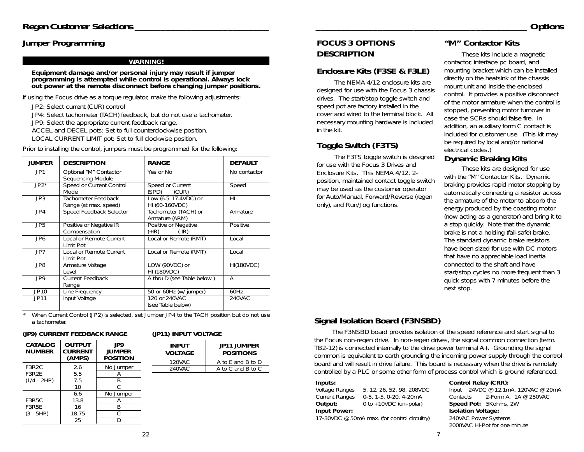## **Jumper Programming**

#### **WARNING!**

**Equipment damage and/or personal injury may result if jumper programming is attempted while control is operational. Always lock out power at the remote disconnect before changing jumper positions.**

If using the Focus drive as a torque regulator, make the following adjustments:

JP2: Select current (CUR) control

JP4: Select tachometer (TACH) feedback, but do not use a tachometer.

JP9: Select the appropriate current feedback range.

ACCEL and DECEL pots: Set to full counterclockwise position.

LOCAL CURRENT LIMIT pot: Set to full clockwise position.

Prior to installing the control, jumpers must be programmed for the following:

| <b>JUMPER</b>   | <b>DESCRIPTION</b>                           | <b>RANGE</b>                               | <b>DEFAULT</b>    |
|-----------------|----------------------------------------------|--------------------------------------------|-------------------|
| JPI             | Optional "M" Contactor<br>Sequencing Module  | Yes or No                                  | No contactor      |
| $JP2^*$         | Speed or Current Control<br>Mode             | Speed or Current<br>(SPD)<br>(CUR)         | Speed             |
| JP3             | Tachometer Feedback<br>Range (at max. speed) | Low (6.5-17.4VDC) or<br>HI (60-160VDC)     | HI                |
| JPA             | Speed Feedback Selector                      | Tachometer (TACH) or<br>Armature (ARM)     | Armature          |
| JP5             | Positive or Negative IR<br>Compensation      | Positive or Negative<br>$(+IR)$<br>$(-IR)$ | Positive          |
| JP <sub>6</sub> | Local or Remote Current<br>Limit Pot         | Local or Remote (RMT)                      | Local             |
| JP7             | Local or Remote Current<br>Limit Pot         | Local or Remote (RMT)                      | Local             |
| JP8             | Armature Voltage<br>Level                    | LOW (90VDC) or<br><b>HI (180VDC)</b>       | <b>HI(180VDC)</b> |
| JP9             | Current Feedback<br>Range                    | A thru D (see Table below)                 | A                 |
| JP10            | Line Frequency                               | 50 or 60Hz (w/ jumper)                     | 60Hz              |
| JP11            | Input Voltage                                | 120 or 240VAC<br>(see Table below)         | 240VAC            |

 *When Current Control (JP2) is selected, set Jumper JP4 to the TACH position but do not use a tachometer.*

#### **(JP9) CURRENT FEEDBACK RANGE**

*\**

| CATALOG<br><b>NUMBER</b> | <b>OUTPUT</b><br><b>CURRENT</b><br>(AMPS) | JP9<br><b>JUMPER</b><br><b>POSITION</b> | <b>INPUT</b><br><b>VOLTAGE</b> | <b>JP11 JUMPER</b><br><b>POSITIONS</b> |
|--------------------------|-------------------------------------------|-----------------------------------------|--------------------------------|----------------------------------------|
|                          |                                           |                                         | 120VAC                         | A to E and B to D                      |
| F3R <sub>2</sub> C       | 2.6                                       | No Jumper                               | 240VAC                         | A to C and B to C                      |
| F3R2E                    | 5.5                                       | Α                                       |                                |                                        |
| $(1/4 - 2HP)$            | 7.5                                       | B                                       |                                |                                        |
|                          | 10                                        |                                         |                                |                                        |
|                          | 6.6                                       | No Jumper                               |                                |                                        |
| F3R5C                    | 13.8                                      | A                                       |                                |                                        |
| F3R5E                    | 16                                        | B                                       |                                |                                        |
| (3 - 5HP)                | 18.75                                     | C                                       |                                |                                        |
|                          | 25                                        |                                         |                                |                                        |

#### **(JP11) INPUT VOLTAGE**

| <b>FOCUS 3 OPTIONS</b> |
|------------------------|
| <b>DESCRIPTION</b>     |

## **Enclosure Kits (F3SE & F3LE)**

The NEMA 4/12 enclosure kits are designed for use with the Focus 3 chassis drives. The start/stop toggle switch and speed pot are factory installed in the cover and wired to the terminal block. All necessary mounting hardware is included in the kit.

## **Toggle Switch (F3TS)**

The F3TS toggle switch is designed for use with the Focus 3 Drives and Enclosure Kits. This NEMA 4/12, 2 position, maintained contact toggle switch may be used as the customer operator for Auto/Manual, Forward/Reverse (regen only), and Run/Jog functions.

## **"M" Contactor Kits**

*\_\_\_\_\_\_\_\_\_\_\_\_\_\_\_\_\_\_\_\_\_\_\_\_\_\_\_\_\_\_\_\_\_\_\_\_\_\_\_\_\_ Options*

These kits Include a magnetic contactor, interface pc board, and mounting bracket which can be installed directly on the heatsink of the chassis mount unit and inside the enclosed control. It provides a positive disconnect of the motor armature when the control is stopped, preventing motor turnover in case the SCRs should false fire. In addition, an auxiliary form C contact is included for customer use. (This kit may be required by local and/or national electrical codes.)

## **Dynamic Braking Kits**

These kits are designed for use with the "M" Contactor Kits. Dynamic braking provides rapid motor stopping by automatically connecting a resistor across the armature of the motor to absorb the energy produced by the coasting motor (now acting as a generator) and bring it to a stop quickly. Note that the dynamic brake is not a holding (fail-safe) brake. The standard dynamic brake resistors have been sized for use with DC motors that have no appreciable load inertia connected to the shaft and have start/stop cycles no more frequent than 3 quick stops with 7 minutes before the next stop.

## **Signal Isolation Board (F3NSBD)**

The F3NSBD board provides isolation of the speed reference and start signal to the Focus non-regen drive. In non-regen drives, the signal common connection (term. TB2-12) is connected internally to the drive power terminal A+. Grounding the signal common is equivalent to earth grounding the incoming power supply through the control board and will result in drive failure. This board is necessary when the drive is remotely controlled by a PLC or some other form of process control which is ground referenced.

Current Ranges  $0.5$ ,  $1.5$ ,  $0.20$ ,  $4.20mA$  Contacts  $2.5$  Contacts  $2.50 \text{mA}$ ,  $3.4 \text{ m}$  Contacts  $2.50 \text{b}$  Contacts  $2.5 \text{N}$ **Input Power: Isolation Voltage:**

17-30VDC @ 50mA max. (for control circuitry) 240VAC Power Systems

#### **Inputs:**<br> **Control Relay (CRR):**

Voltage Ranges 5, 12, 26, 52, 98, 208VDC lnput 24VDC @ 12.1mA, 120VAC @ 20mA<br>Current Ranges 0-5, 1-5, 0-20, 4-20mA Contacts 2-Form A, 1A @ 250VAC **Speed Pot:** 5Kohms, 2W 2000VAC Hi-Pot for one minute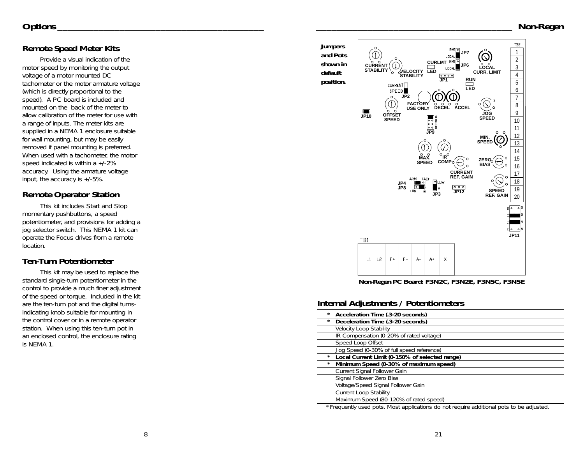## **Remote Speed Meter Kits**

Provide a visual indication of the motor speed by monitoring the output voltage of a motor mounted DC tachometer or the motor armature voltage (which is directly proportional to the speed). A PC board is included and mounted on the back of the meter to allow calibration of the meter for use with a range of inputs. The meter kits are supplied in a NEMA 1 enclosure suitable for wall mounting, but may be easily removed if panel mounting is preferred. When used with a tachometer, the motor speed indicated is within a +/-2% accuracy. Using the armature voltage input, the accuracy is +/-5%.

## **Remote Operator Station**

This kit includes Start and Stop momentary pushbuttons, a speed potentiometer, and provisions for adding a jog selector switch. This NEMA 1 kit can operate the Focus drives from a remote location.

## **Ten-Turn Potentiometer**

This kit may be used to replace the standard single-turn potentiometer in the control to provide a much finer adjustment of the speed or torque. Included in the kit are the ten-turn pot and the digital turnsindicating knob suitable for mounting in the control cover or in a remote operator station. When using this ten-turn pot in an enclosed control, the enclosure rating is NEMA 1.



*Non-Regen PC Board: F3N2C, F3N2E, F3N5C, F3N5E*

## **Internal Adjustments / Potentiometers**

| *<br>Acceleration Time (.3-20 seconds)                    |
|-----------------------------------------------------------|
| Deceleration Time (.3-20 seconds)<br>$\star$              |
| <b>Velocity Loop Stability</b>                            |
| IR Compensation (0-20% of rated voltage)                  |
| Speed Loop Offset                                         |
| Jog Speed (0-30% of full speed reference)                 |
| Local Current Limit (0-150% of selected range)<br>$\star$ |
| Minimum Speed (0-30% of maximum speed)<br>$\star$         |
| Current Signal Follower Gain                              |
| Signal Follower Zero Bias                                 |
| Voltage/Speed Signal Follower Gain                        |
| <b>Current Loop Stability</b>                             |
| Maximum Speed (80-120% of rated speed)                    |

*\* Frequently used pots. Most applications do not require additional pots to be adjusted.*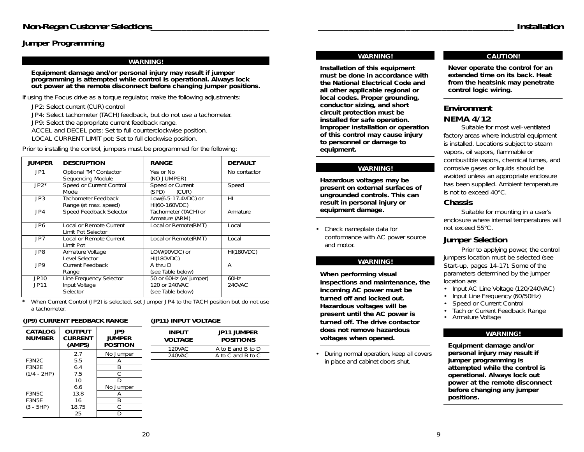## **Jumper Programming**

#### **WARNING!**

**Equipment damage and/or personal injury may result if jumper programming is attempted while control is operational. Always lock out power at the remote disconnect before changing jumper positions.**

If using the Focus drive as a torque regulator, make the following adjustments:

JP2: Select current (CUR) control

JP4: Select tachometer (TACH) feedback, but do not use a tachometer.

JP9: Select the appropriate current feedback range.

ACCEL and DECEL pots: Set to full counterclockwise position.

LOCAL CURRENT LIMIT pot: Set to full clockwise position.

| <b>JUMPER</b>   | <b>DESCRIPTION</b>                            | <b>RANGE</b>                           | <b>DEFAULT</b>    |
|-----------------|-----------------------------------------------|----------------------------------------|-------------------|
| JP1             | Optional "M" Contactor<br>Sequencing Module   | Yes or No<br>(NO JUMPER)               | No contactor      |
| $JP2*$          | Speed or Current Control<br>Mode              | Speed or Current<br>(CUR)<br>(SPD)     | Speed             |
| JP3             | Tachometer Feedback<br>Range (at max. speed)  | Low(6.5-17.4VDC) or<br>HI(60-160VDC)   | HI                |
| JPA             | Speed Feedback Selector                       | Tachometer (TACH) or<br>Armature (ARM) | Armature          |
| JP <sub>6</sub> | Local or Remote Current<br>Limit Pot Selector | Local or Remote(RMT)                   | Local             |
| JP7             | Local or Remote Current<br>Limit Pot          | Local or Remote(RMT)                   | Local             |
| JP8             | Armature Voltage<br>Level Selector            | LOW(90VDC) or<br><b>HI(180VDC)</b>     | <b>HI(180VDC)</b> |
| JP9             | <b>Current Feedback</b><br>Range              | A thru D<br>(see Table below)          | Α                 |
| <b>JP10</b>     | Line Frequency Selector                       | 50 or 60Hz (w/ jumper)                 | 60Hz              |
| JP11            | Input Voltage<br>Selector                     | 120 or 240VAC<br>(see Table below)     | 240VAC            |

Prior to installing the control, jumpers must be programmed for the following:

 *When Current Control (JP2) is selected, set Jumper JP4 to the TACH position but do not use a tachometer.*

#### **(JP9) CURRENT FEEDBACK RANGE**

*\**

| (JP11) INPUT VOLTAGE |  |
|----------------------|--|
|----------------------|--|

| CATALOG<br><b>NUMBER</b> | <b>OUTPUT</b><br><b>CURRENT</b><br>(AMPS) | JP9<br><b>JUMPER</b><br>POSITION |
|--------------------------|-------------------------------------------|----------------------------------|
|                          | 2.7                                       | No Jumper                        |
| F3N2C                    | 5.5                                       |                                  |
| F3N2F                    | 6.4                                       |                                  |
| (1/4 - 2HP)              | 75                                        |                                  |
|                          | 10                                        |                                  |
|                          | 6.6                                       | No Jumper                        |
| F3N5C                    | 13.8                                      | А                                |
| F3N5F                    | 16                                        |                                  |
| (3 - 5HP)                | 18.75                                     |                                  |
|                          | 25                                        |                                  |

| INPUT<br><b>VOLTAGE</b> | <b>JP11 JUMPER</b><br><b>POSITIONS</b> |
|-------------------------|----------------------------------------|
| $120$ VAC.              | A to F and B to D                      |
| $240$ VAC.              | A to C and B to C                      |

#### **WARNING!**

**Installation of this equipment must be done in accordance with the National Electrical Code and all other applicable regional or local codes. Proper grounding, conductor sizing, and short circuit protection must be installed for safe operation. Improper installation or operation of this control may cause injury to personnel or damage to equipment.**

#### **WARNING!**

**Hazardous voltages may be present on external surfaces of ungrounded controls. This can result in personal injury or equipment damage.** 

• Check nameplate data for conformance with AC power source and motor.

#### **WARNING!**

**When performing visual inspections and maintenance, the incoming AC power must be turned off and locked out. Hazardous voltages will be present until the AC power is turned off. The drive contactor does not remove hazardous voltages when opened.** 

 During normal operation, keep all covers in place and cabinet doors shut.

#### **CAUTION!**

**Never operate the control for an extended time on its back. Heat from the heatsink may penetrate control logic wiring.** 

## **Environment NEMA 4/12**

Suitable for most well-ventilated factory areas where industrial equipment is installed. Locations subject to steam vapors, oil vapors, flammable or combustible vapors, chemical fumes, and corrosive gases or liquids should be avoided unless an appropriate enclosure has been supplied. Ambient temperature is not to exceed 40°C.

### **Chassis**

Suitable for mounting in a user's enclosure where internal temperatures will not exceed 55°C.

## **Jumper Selection**

Prior to applying power, the control jumpers location must be selected (see Start-up, pages 14-17). Some of the parameters determined by the jumper location are:

- Input AC Line Voltage (120/240VAC)
- Input Line Frequency (60/50Hz)
- •Speed or Current Control
- •Tach or Current Feedback Range
- Armature Voltage

#### **WARNING!**

**Equipment damage and/or personal injury may result if jumper programming is attempted while the control is operational. Always lock out power at the remote disconnect before changing any jumper positions.**

•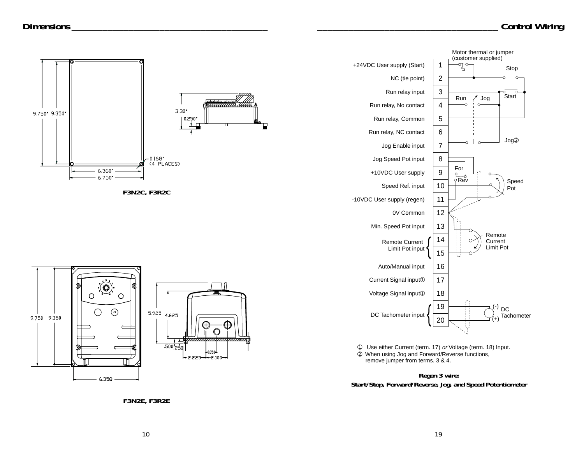

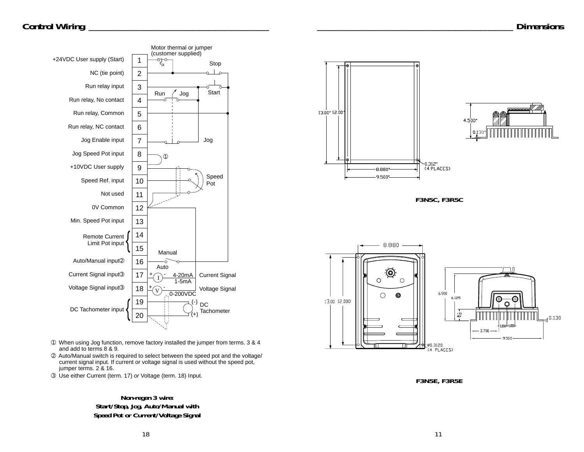## *Control Wiring \_\_\_\_\_\_\_\_\_\_\_\_\_\_\_\_\_\_\_\_\_\_\_\_\_\_\_\_\_\_\_\_\_\_\_*



- ➀ When using Jog function, remove factory installed the jumper from terms. 3 & 4 and add to terms 8 & 9.
- ➁ Auto/Manual switch is required to select between the speed pot and the voltage/ current signal input. If current or voltage signal is used without the speed pot, jumper terms. 2 & 16.
- ➂ Use either Current (term. 17) or Voltage (term. 18) Input.

## *Non-regen 3 wire: Start/Stop, Jog, Auto/Manual with Speed Pot or Current/Voltage Signal*



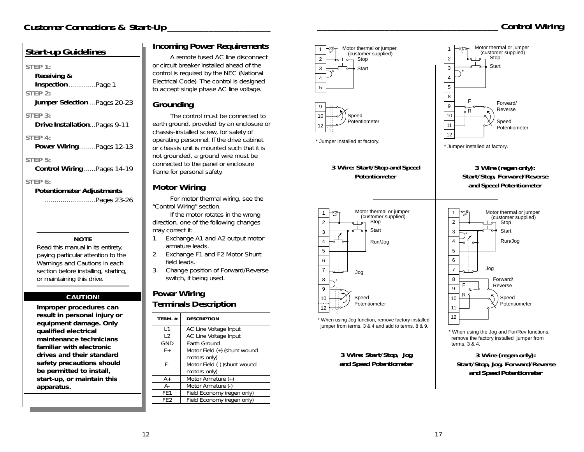Motor thermal or jumper (customer supplied)

## **STEP 1: Receiving & Inspection** .............Page 1 **STEP 2: Jumper Selection** ...Pages 20-23 **STEP 3: Drive Installation**...Pages 9-11 **STEP 4: Power Wiring**........Pages 12-13 **STEP 5: Control Wiring**......Pages 14-19 **STEP 6:**

*Start-up Guidelines*

**Potentiometer Adjustments** .........................Pages 23-26

**NOTE** Read this manual in its entirety, paying particular attention to the *Warnings* and *Cautions* in each section before installing, starting, or maintaining this drive.

### **CAUTION!**

**Improper procedures can result in personal injury or equipment damage. Only qualified electrical maintenance technicians familiar with electronic drives and their standard safety precautions should be permitted to install, start-up, or maintain this apparatus.** 

## **Incoming Power Requirements**

A remote fused AC line disconnect or circuit breaker installed ahead of the control is required by the NEC (National Electrical Code). The control is designed to accept single phase AC line voltage.

## **Grounding**

The control must be connected to earth ground, provided by an enclosure or chassis-installed screw, for safety of operating personnel. If the drive cabinet or chassis unit is mounted such that it is not grounded, a ground wire must be connected to the panel or enclosure frame for personal safety.

## **Motor Wiring**

For motor thermal wiring, see the "Control Wiring" section.

If the motor rotates in the wrong direction, one of the following changes may correct it:

- 1. Exchange A1 and A2 output motor armature leads.
- 2. Exchange F1 and F2 Motor Shunt field leads.
- 3. Change position of Forward/Reverse switch, if being used.

## **Power Wiring Terminals Description**

| TERM.#          | <b>DESCRIPTION</b>           |
|-----------------|------------------------------|
| $\vert$ 1       | AC Line Voltage Input        |
| $\sqrt{2}$      | AC Line Voltage Input        |
| <b>GND</b>      | <b>Farth Ground</b>          |
| $F +$           | Motor Field (+) (shunt wound |
|                 | motors only)                 |
| F-              | Motor Field (-) (shunt wound |
|                 | motors only)                 |
| A+              | Motor Armature (+)           |
| А-              | Motor Armature (-)           |
| FF1             | Field Economy (regen only)   |
| FF <sub>2</sub> | Field Economy (regen only)   |



\* Jumper installed at factory.

Potentiometer

**Speed** Potentiometer

*3 Wire: Start/Stop, Jog and Speed Potentiometer*

Jog

\*

Motor thermal or jumper (customer supplied) Stop **Start** Run/Jog

*Potentiometer*

-010-

12



1

\* When using the Jog and For/Rev functions, remove the factory installed jumper from terms. 3 & 4.

> *3 Wire (regen only): Start/Stop, Jog, Forward/Reverse and Speed Potentiometer*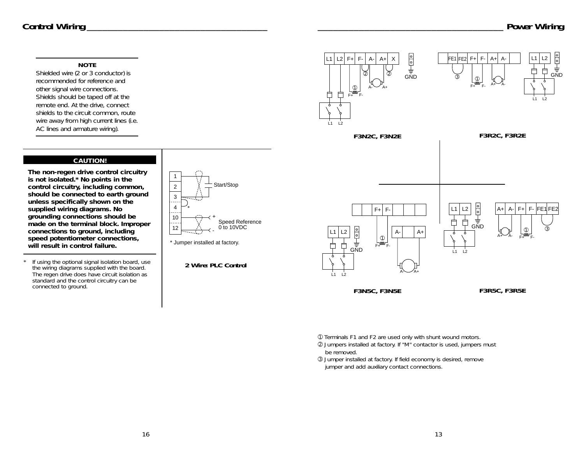## *Control Wiring \_\_\_\_\_\_\_\_\_\_\_\_\_\_\_\_\_\_\_\_\_\_\_\_\_\_\_\_\_\_\_\_\_\_\_*

#### **NOTE**

Shielded wire (2 or 3 conductor) is recommended for reference and other signal wire connections. Shields should be taped off at the remote end. At the drive, connect shields to the circuit common, route wire away from high current lines (i.e. AC lines and armature wiring).

#### **CAUTION!**

**The non-regen drive control circuitry is not isolated.\* No points in the control circuitry, including common, should be connected to earth ground unless specifically shown on the supplied wiring diagrams. No grounding connections should be made on the terminal block. Improper connections to ground, including speed potentiometer connections, will result in control failure.** 

*\* If using the optional signal isolation board, use the wiring diagrams supplied with the board. The regen drive does have circuit isolation as standard and the control circuitry can be connected to ground.*

1 Start/Stop 2 3 . . . . 4 \*  $\cdots$ 10 + Speed Reference 0 to 10VDC 12

\* Jumper installed at factory.

*2 Wire: PLC Control*









*F3N5C, F3N5E F3R5C, F3R5E*

➀ *Terminals F1 and F2 are used only with shunt wound motors.*

➁ *Jumpers installed at factory. If "M" contactor is used, jumpers must be removed.*

➂ *Jumper installed at factory. If field economy is desired, remove jumper and add auxiliary contact connections.*